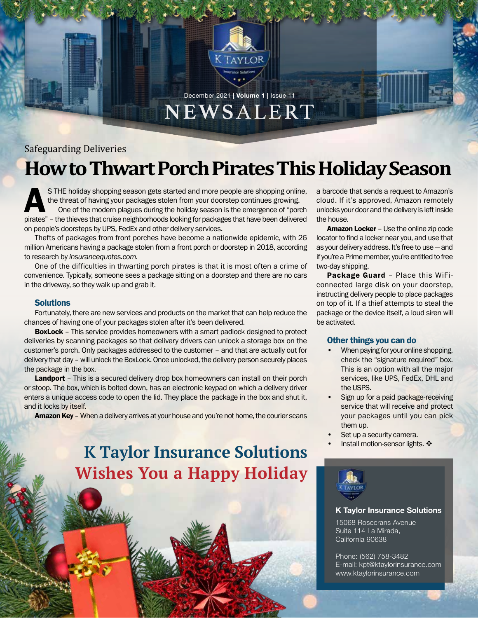

## December 2021 **| Volume 1 |** Issue 11 NEWSALERT

## Safeguarding Deliveries

# **How to Thwart Porch Pirates This Holiday Season**

S THE holiday shopping season gets started and more people are shopping online,<br>the threat of having your packages stolen from your doorstep continues growing.<br>One of the modern plagues during the holiday season is the eme the threat of having your packages stolen from your doorstep continues growing. One of the modern plagues during the holiday season is the emergence of "porch pirates" – the thieves that cruise neighborhoods looking for packages that have been delivered on people's doorsteps by UPS, FedEx and other delivery services.

Thefts of packages from front porches have become a nationwide epidemic, with 26 million Americans having a package stolen from a front porch or doorstep in 2018, according to research by *insurancequotes.com*.

One of the difficulties in thwarting porch pirates is that it is most often a crime of convenience. Typically, someone sees a package sitting on a doorstep and there are no cars in the driveway, so they walk up and grab it.

## **Solutions**

Fortunately, there are new services and products on the market that can help reduce the chances of having one of your packages stolen after it's been delivered.

**BoxLock** – This service provides homeowners with a smart padlock designed to protect deliveries by scanning packages so that delivery drivers can unlock a storage box on the customer's porch. Only packages addressed to the customer – and that are actually out for delivery that day – will unlock the BoxLock. Once unlocked, the delivery person securely places the package in the box.

Landport – This is a secured delivery drop box homeowners can install on their porch or stoop. The box, which is bolted down, has an electronic keypad on which a delivery driver enters a unique access code to open the lid. They place the package in the box and shut it, and it locks by itself.

**Amazon Key** – When a delivery arrives at your house and you're not home, the courier scans

**K Taylor Insurance Solutions Wishes You a Happy Holiday** a barcode that sends a request to Amazon's cloud. If it's approved, Amazon remotely unlocks your door and the delivery is left inside the house.

Amazon Locker – Use the online zip code locator to find a locker near you, and use that as your delivery address. It's free to use — and if you're a Prime member, you're entitled to free two-day shipping.

Package Guard – Place this WiFiconnected large disk on your doorstep, instructing delivery people to place packages on top of it. If a thief attempts to steal the package or the device itself, a loud siren will be activated.

## Other things you can do

- When paying for your online shopping, check the "signature required" box. This is an option with all the major services, like UPS, FedEx, DHL and the USPS.
- Sign up for a paid package-receiving service that will receive and protect your packages until you can pick them up.
- Set up a security camera.
- Install motion-sensor lights. ※



### **K Taylor Insurance Solutions**

15068 Rosecrans Avenue Suite 114 La Mirada, California 90638

Phone: (562) 758-3482 E-mail: kpt@ktaylorinsurance.com www.ktaylorinsurance.com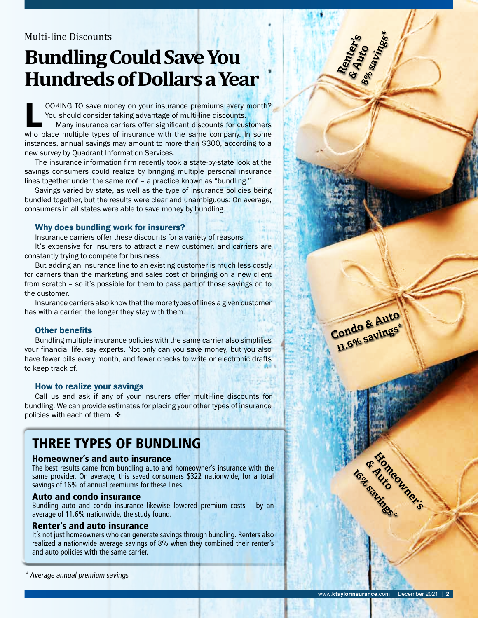## Multi-line Discounts

# **Bundling Could Save You Hundreds of Dollars a Year**

OOKING TO save money on your insurance premiums every month?<br>You should consider taking advantage of multi-line discounts.<br>Many insurance carriers offer significant discounts for customers<br>who place multiple types of insur You should consider taking advantage of multi-line discounts. Many insurance carriers offer significant discounts for customers who place multiple types of insurance with the same company. In some instances, annual savings may amount to more than \$300, according to a new survey by Quadrant Information Services.

The insurance information firm recently took a state-by-state look at the savings consumers could realize by bringing multiple personal insurance lines together under the same roof – a practice known as "bundling."

Savings varied by state, as well as the type of insurance policies being bundled together, but the results were clear and unambiguous: On average, consumers in all states were able to save money by bundling.

## Why does bundling work for insurers?

Insurance carriers offer these discounts for a variety of reasons.

It's expensive for insurers to attract a new customer, and carriers are constantly trying to compete for business.

But adding an insurance line to an existing customer is much less costly for carriers than the marketing and sales cost of bringing on a new client from scratch – so it's possible for them to pass part of those savings on to the customer.

Insurance carriers also know that the more types of lines a given customer has with a carrier, the longer they stay with them.

## Other benefits

Bundling multiple insurance policies with the same carrier also simplifies your financial life, say experts. Not only can you save money, but you also have fewer bills every month, and fewer checks to write or electronic drafts to keep track of.

### How to realize your savings

Call us and ask if any of your insurers offer multi-line discounts for bundling. We can provide estimates for placing your other types of insurance policies with each of them.  $\mathbf{\hat{*}}$ 

## THREE TYPES OF BUNDLING

### Homeowner's and auto insurance

The best results came from bundling auto and homeowner's insurance with the same provider. On average, this saved consumers \$322 nationwide, for a total savings of 16% of annual premiums for these lines.

### Auto and condo insurance

Bundling auto and condo insurance likewise lowered premium costs – by an average of 11.6% nationwide, the study found.

### Renter's and auto insurance

It's not just homeowners who can generate savings through bundling. Renters also realized a nationwide average savings of 8% when they combined their renter's and auto policies with the same carrier.

\* Average annual premium savings

**Hypeowner's** 

**& Auto**

**16% savings\***

**Condo & Auto 11.6% savings\***

**Renter's**<br>& Auto<sup>s</sup><br><sup>8% savings\*</sup>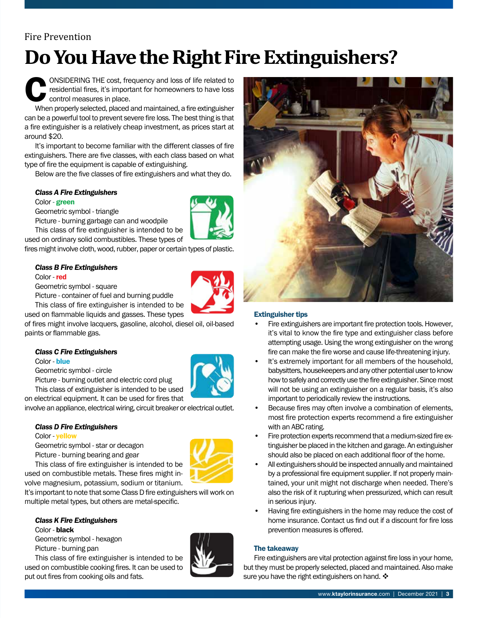## Fire Prevention

# **Do You Have the Right Fire Extinguishers?**

CONSIDERING THE cost, frequency and loss of life related to<br>residential fires, it's important for homeowners to have loss<br>control measures in place.<br>When properly selected, placed and maintained, a fire extinguisher residential fires, it's important for homeowners to have loss control measures in place.

When properly selected, placed and maintained, a fire extinguisher can be a powerful tool to prevent severe fire loss. The best thing is that a fire extinguisher is a relatively cheap investment, as prices start at around \$20.

It's important to become familiar with the different classes of fire extinguishers. There are five classes, with each class based on what type of fire the equipment is capable of extinguishing.

Below are the five classes of fire extinguishers and what they do.

## *Class A Fire Extinguishers*

Color - green

Geometric symbol - triangle

Picture - burning garbage can and woodpile

This class of fire extinguisher is intended to be used on ordinary solid combustibles. These types of

fires might involve cloth, wood, rubber, paper or certain types of plastic.

## *Class B Fire Extinguishers*

### Color - red

Geometric symbol - square

Picture - container of fuel and burning puddle

This class of fire extinguisher is intended to be used on flammable liquids and gasses. These types

of fires might involve lacquers, gasoline, alcohol, diesel oil, oil-based paints or flammable gas.

|  |  | <b>Class C Fire Extinguishers</b> |
|--|--|-----------------------------------|
|--|--|-----------------------------------|

Color - blue

Geometric symbol - circle

Picture - burning outlet and electric cord plug



involve an appliance, electrical wiring, circuit breaker or electrical outlet.

## *Class D Fire Extinguishers*

### Color - yellow

Geometric symbol - star or decagon Picture - burning bearing and gear



This class of fire extinguisher is intended to be used on combustible metals. These fires might involve magnesium, potassium, sodium or titanium.

It's important to note that some Class D fire extinguishers will work on multiple metal types, but others are metal-specific.

#### *Class K Fire Extinguishers* Color - black

Geometric symbol - hexagon Picture - burning pan

This class of fire extinguisher is intended to be used on combustible cooking fires. It can be used to put out fires from cooking oils and fats.





## Extinguisher tips

- Fire extinguishers are important fire protection tools. However, it's vital to know the fire type and extinguisher class before attempting usage. Using the wrong extinguisher on the wrong fire can make the fire worse and cause life-threatening injury.
- It's extremely important for all members of the household, babysitters, housekeepers and any other potential user to know how to safely and correctly use the fire extinguisher. Since most will not be using an extinguisher on a regular basis, it's also important to periodically review the instructions.
- Because fires may often involve a combination of elements, most fire protection experts recommend a fire extinguisher with an ABC rating.
- Fire protection experts recommend that a medium-sized fire extinguisher be placed in the kitchen and garage. An extinguisher should also be placed on each additional floor of the home.
- All extinguishers should be inspected annually and maintained by a professional fire equipment supplier. If not properly maintained, your unit might not discharge when needed. There's also the risk of it rupturing when pressurized, which can result in serious injury.
- Having fire extinguishers in the home may reduce the cost of home insurance. Contact us find out if a discount for fire loss prevention measures is offered.

## The takeaway

Fire extinguishers are vital protection against fire loss in your home, but they must be properly selected, placed and maintained. Also make sure you have the right extinguishers on hand.  $\clubsuit$